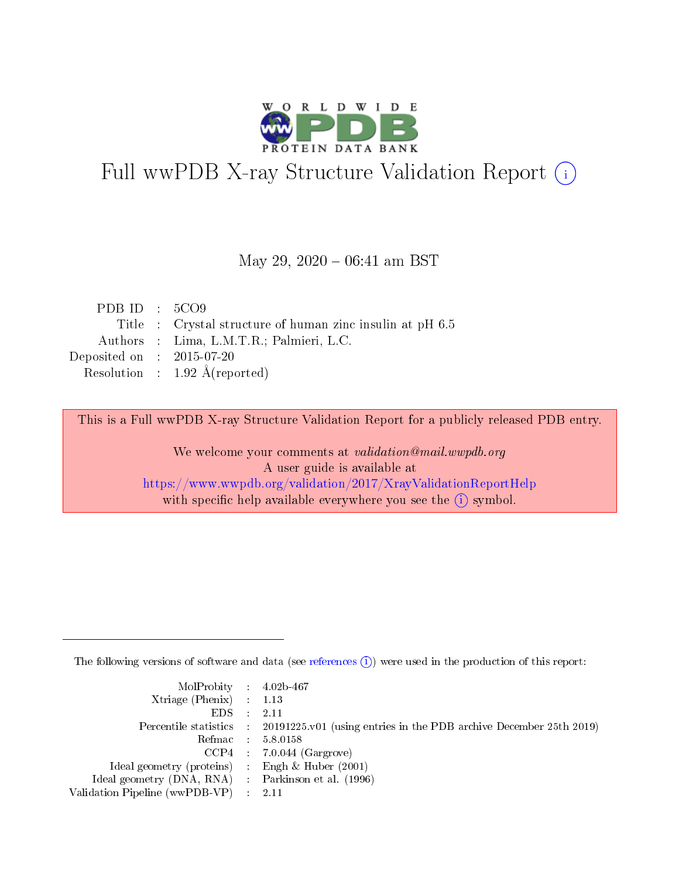

# Full wwPDB X-ray Structure Validation Report (i)

### May 29,  $2020 - 06:41$  am BST

| PDB ID : $5CO9$             |                                                           |
|-----------------------------|-----------------------------------------------------------|
|                             | Title : Crystal structure of human zinc insulin at pH 6.5 |
|                             | Authors : Lima, L.M.T.R.; Palmieri, L.C.                  |
| Deposited on : $2015-07-20$ |                                                           |
|                             | Resolution : $1.92 \text{ Å}$ (reported)                  |

This is a Full wwPDB X-ray Structure Validation Report for a publicly released PDB entry.

We welcome your comments at validation@mail.wwpdb.org A user guide is available at <https://www.wwpdb.org/validation/2017/XrayValidationReportHelp> with specific help available everywhere you see the  $(i)$  symbol.

The following versions of software and data (see [references](https://www.wwpdb.org/validation/2017/XrayValidationReportHelp#references)  $(i)$ ) were used in the production of this report:

| MolProbity : $4.02b-467$                            |                                                                                            |
|-----------------------------------------------------|--------------------------------------------------------------------------------------------|
| Xtriage (Phenix) $: 1.13$                           |                                                                                            |
| EDS                                                 | 2.11                                                                                       |
|                                                     | Percentile statistics : 20191225.v01 (using entries in the PDB archive December 25th 2019) |
| Refmac                                              | 5.8.0158                                                                                   |
|                                                     | $CCP4$ 7.0.044 (Gargrove)                                                                  |
| Ideal geometry (proteins) : Engh $\&$ Huber (2001)  |                                                                                            |
| Ideal geometry (DNA, RNA) : Parkinson et al. (1996) |                                                                                            |
| Validation Pipeline (wwPDB-VP)                      | -2.11                                                                                      |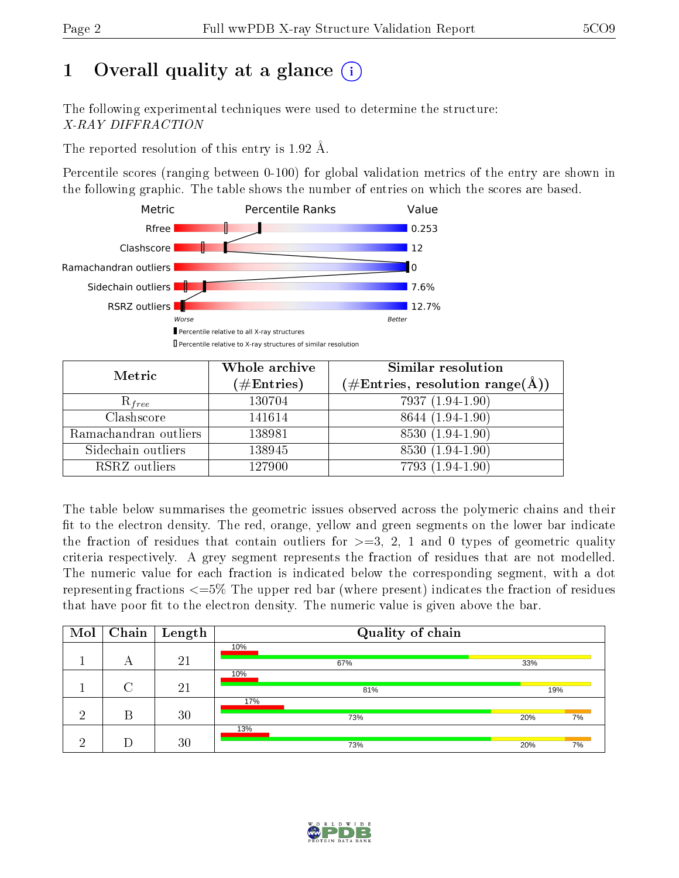# 1 [O](https://www.wwpdb.org/validation/2017/XrayValidationReportHelp#overall_quality)verall quality at a glance  $(i)$

The following experimental techniques were used to determine the structure: X-RAY DIFFRACTION

The reported resolution of this entry is 1.92 Å.

Percentile scores (ranging between 0-100) for global validation metrics of the entry are shown in the following graphic. The table shows the number of entries on which the scores are based.



| Metric                | Whole archive<br>$(\#\mathrm{Entries})$ | Similar resolution<br>$(\#\text{Entries},\,\text{resolution}\,\,\text{range}(\textup{\AA}))$ |  |  |
|-----------------------|-----------------------------------------|----------------------------------------------------------------------------------------------|--|--|
| $R_{free}$            | 130704                                  | 7937 (1.94-1.90)                                                                             |  |  |
| Clashscore            | 141614                                  | 8644 (1.94-1.90)                                                                             |  |  |
| Ramachandran outliers | 138981                                  | 8530 (1.94-1.90)                                                                             |  |  |
| Sidechain outliers    | 138945                                  | 8530 (1.94-1.90)                                                                             |  |  |
| RSRZ outliers         | 127900                                  | 7793 (1.94-1.90)                                                                             |  |  |

The table below summarises the geometric issues observed across the polymeric chains and their fit to the electron density. The red, orange, yellow and green segments on the lower bar indicate the fraction of residues that contain outliers for  $>=3, 2, 1$  and 0 types of geometric quality criteria respectively. A grey segment represents the fraction of residues that are not modelled. The numeric value for each fraction is indicated below the corresponding segment, with a dot representing fractions  $\epsilon=5\%$  The upper red bar (where present) indicates the fraction of residues that have poor fit to the electron density. The numeric value is given above the bar.

| Mol | Chain  | $\pm$ Length | Quality of chain |           |  |  |  |
|-----|--------|--------------|------------------|-----------|--|--|--|
|     | А      | 21           | 10%<br>67%       | 33%       |  |  |  |
|     | $\cap$ | 21           | 10%<br>81%       | 19%       |  |  |  |
| ച   | R      | 30           | 17%<br>73%       | 20%<br>7% |  |  |  |
|     |        | 30           | 13%<br>73%       | 20%<br>7% |  |  |  |

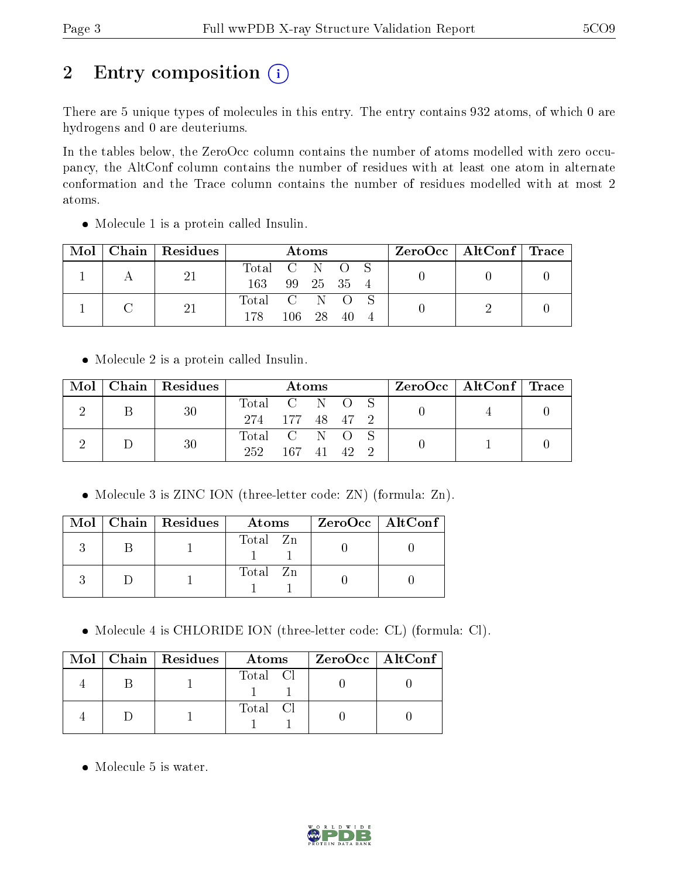# 2 Entry composition (i)

There are 5 unique types of molecules in this entry. The entry contains 932 atoms, of which 0 are hydrogens and 0 are deuteriums.

In the tables below, the ZeroOcc column contains the number of atoms modelled with zero occupancy, the AltConf column contains the number of residues with at least one atom in alternate conformation and the Trace column contains the number of residues modelled with at most 2 atoms.

| Mol |  | Chain Residues | Atoms         |            |     |  |  | ZeroOcc   AltConf   Trace |  |
|-----|--|----------------|---------------|------------|-----|--|--|---------------------------|--|
|     |  | 21             | Total C N O S |            |     |  |  |                           |  |
|     |  |                | 163           | 99 25 35 4 |     |  |  |                           |  |
|     |  |                | Total C N O S |            |     |  |  |                           |  |
|     |  | 178            | 106 28        |            | -40 |  |  |                           |  |

Molecule 1 is a protein called Insulin.

Molecule 2 is a protein called Insulin.

|  |   | $\text{Mol}$   Chain   Residues | <b>Atoms</b>  |  |  |  |  | $\rm ZeroOcc$   AltConf   Trace |  |
|--|---|---------------------------------|---------------|--|--|--|--|---------------------------------|--|
|  | Β | -30                             | Total C N O S |  |  |  |  |                                 |  |
|  |   | 274 177 48 47 2                 |               |  |  |  |  |                                 |  |
|  |   | 30                              | Total C N O S |  |  |  |  |                                 |  |
|  |   | 252.                            | 167 41 42     |  |  |  |  |                                 |  |

• Molecule 3 is ZINC ION (three-letter code: ZN) (formula: Zn).

|  | $Mol$   Chain   Residues | Atoms    | $ZeroOcc$   AltConf |
|--|--------------------------|----------|---------------------|
|  |                          | Total Zn |                     |
|  |                          | Total Zn |                     |

Molecule 4 is CHLORIDE ION (three-letter code: CL) (formula: Cl).

|  | $Mol$   Chain   Residues | Atoms    | ZeroOcc   AltConf |
|--|--------------------------|----------|-------------------|
|  |                          | Total Cl |                   |
|  |                          | Total Cl |                   |

• Molecule 5 is water.

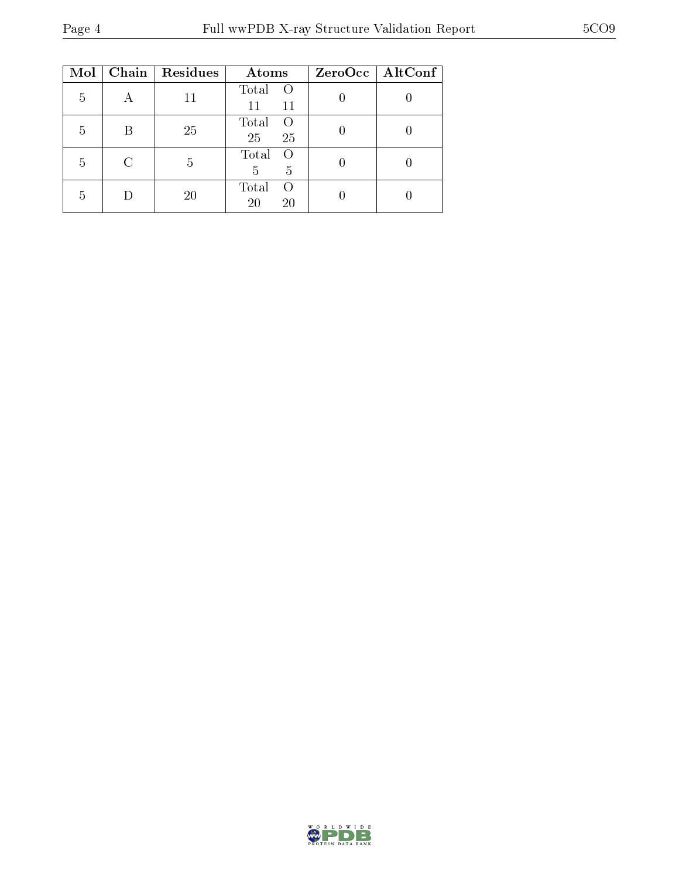| Mol |   | Chain   Residues | Atoms                                            | ZeroOcc   AltConf |
|-----|---|------------------|--------------------------------------------------|-------------------|
| 5   |   | 11               | Total<br>$\left( \right)$<br>11<br>11            |                   |
| 5   | B | 25               | Total<br>$\left( \right)$<br>25<br>25            |                   |
| 5   |   | 5                | Total<br>$\left( \right)$<br>$\overline{5}$<br>5 |                   |
| 5   |   | 20               | Total<br>$\left( \right)$<br>20<br>20            |                   |

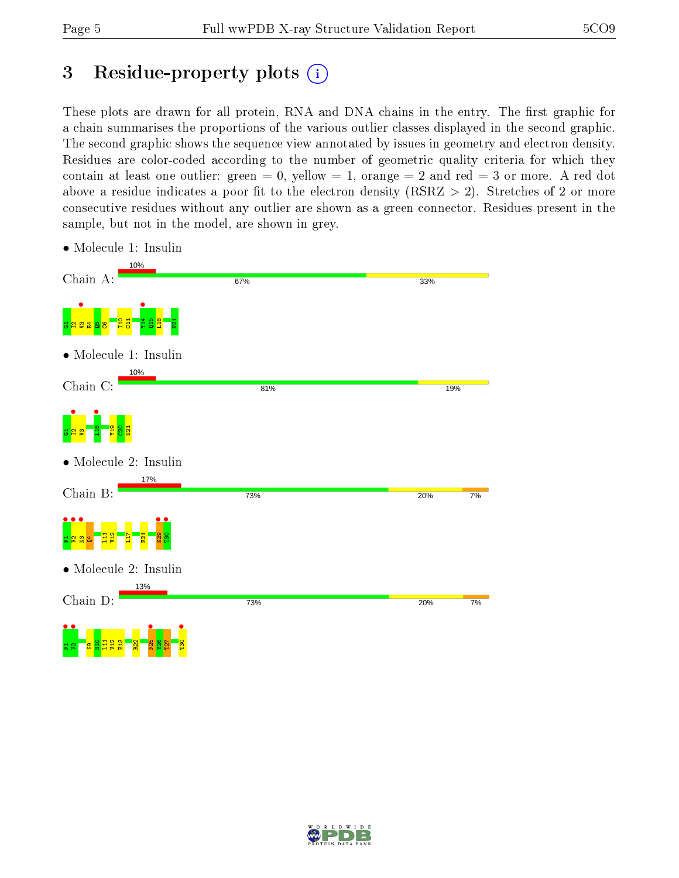# 3 Residue-property plots  $(i)$

These plots are drawn for all protein, RNA and DNA chains in the entry. The first graphic for a chain summarises the proportions of the various outlier classes displayed in the second graphic. The second graphic shows the sequence view annotated by issues in geometry and electron density. Residues are color-coded according to the number of geometric quality criteria for which they contain at least one outlier: green  $= 0$ , yellow  $= 1$ , orange  $= 2$  and red  $= 3$  or more. A red dot above a residue indicates a poor fit to the electron density (RSRZ  $> 2$ ). Stretches of 2 or more consecutive residues without any outlier are shown as a green connector. Residues present in the sample, but not in the model, are shown in grey.

| 10%<br>Chain A:                          | 67% | 33%       |
|------------------------------------------|-----|-----------|
| 롧<br>မ္ဘ                                 |     |           |
| • Molecule 1: Insulin                    |     |           |
| 10%<br>Chain C:                          | 81% | 19%       |
| e                                        |     |           |
| $\bullet$ Molecule 2: Insulin            |     |           |
| 17%<br>Chain B:                          | 73% | 20%<br>7% |
| E                                        |     |           |
| • Molecule 2: Insulin                    |     |           |
| 13%<br>Chain D:                          | 73% | 20%<br>7% |
| $\bullet$ (<br>F <sub>25</sub><br>g<br>忌 |     |           |

• Molecule 1: Insulin

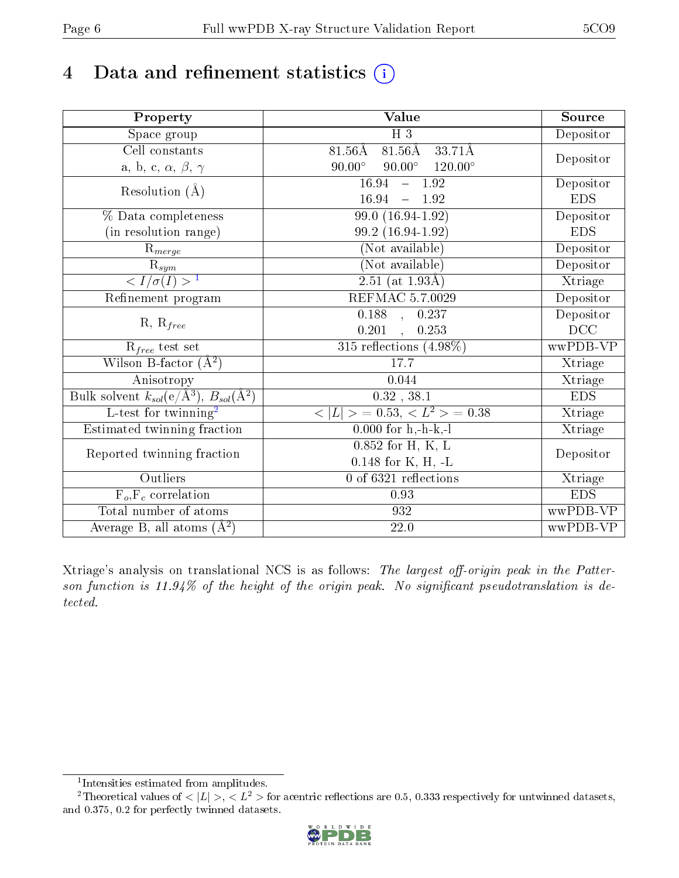# 4 Data and refinement statistics  $(i)$

| Property                                                                | <b>Value</b>                                     | Source     |
|-------------------------------------------------------------------------|--------------------------------------------------|------------|
| Space group                                                             | $H_3$                                            | Depositor  |
| Cell constants                                                          | $81.56\text{\AA}$<br>$81.56\text{\AA}$<br>33.71Å |            |
| a, b, c, $\alpha$ , $\beta$ , $\gamma$                                  | $90.00^{\circ}$ $90.00^{\circ}$ $120.00^{\circ}$ | Depositor  |
| Resolution $(\AA)$                                                      | $16.94 - 1.92$                                   | Depositor  |
|                                                                         | $16.94 - 1.92$                                   | <b>EDS</b> |
| % Data completeness                                                     | $99.0(16.94-1.92)$                               | Depositor  |
| (in resolution range)                                                   | 99.2 (16.94-1.92)                                | <b>EDS</b> |
| $R_{merge}$                                                             | (Not available)                                  | Depositor  |
| $rac{R_{sym}}{<1/\sigma(I)>1}$                                          | (Not available)                                  | Depositor  |
|                                                                         | $2.51$ (at 1.93Å)                                | Xtriage    |
| Refinement program                                                      | REFMAC 5.7.0029                                  | Depositor  |
|                                                                         | $\overline{0.188}$ , 0.237                       | Depositor  |
| $R, R_{free}$                                                           | $0.201 \quad , \quad 0.253$                      | DCC        |
| $R_{free}$ test set                                                     | $315$ reflections $(4.98\%)$                     | wwPDB-VP   |
| Wilson B-factor $(A^2)$                                                 | 17.7                                             | Xtriage    |
| Anisotropy                                                              | 0.044                                            | Xtriage    |
| Bulk solvent $k_{sol}$ (e/Å <sup>3</sup> ), $B_{sol}$ (Å <sup>2</sup> ) | $0.32$ , $38.1$                                  | <b>EDS</b> |
| L-test for twinning <sup>2</sup>                                        | $< L >$ = 0.53, $< L^2 >$ = 0.38                 | Xtriage    |
| Estimated twinning fraction                                             | $0.000$ for h,-h-k,-l                            | Xtriage    |
| Reported twinning fraction                                              | $0.852$ for H, K, L                              | Depositor  |
|                                                                         | $0.148$ for K, H, -L                             |            |
| Outliers                                                                | $0$ of 6321 reflections                          | Xtriage    |
| $\overline{F_o, F_c}$ correlation                                       | 0.93                                             | <b>EDS</b> |
| Total number of atoms                                                   | 932                                              | wwPDB-VP   |
| Average B, all atoms $(A^2)$                                            | $22.0\,$                                         | wwPDB-VP   |

Xtriage's analysis on translational NCS is as follows: The largest off-origin peak in the Patterson function is  $11.94\%$  of the height of the origin peak. No significant pseudotranslation is detected.

<sup>&</sup>lt;sup>2</sup>Theoretical values of  $\langle |L| \rangle$ ,  $\langle L^2 \rangle$  for acentric reflections are 0.5, 0.333 respectively for untwinned datasets, and 0.375, 0.2 for perfectly twinned datasets.



<span id="page-5-1"></span><span id="page-5-0"></span><sup>1</sup> Intensities estimated from amplitudes.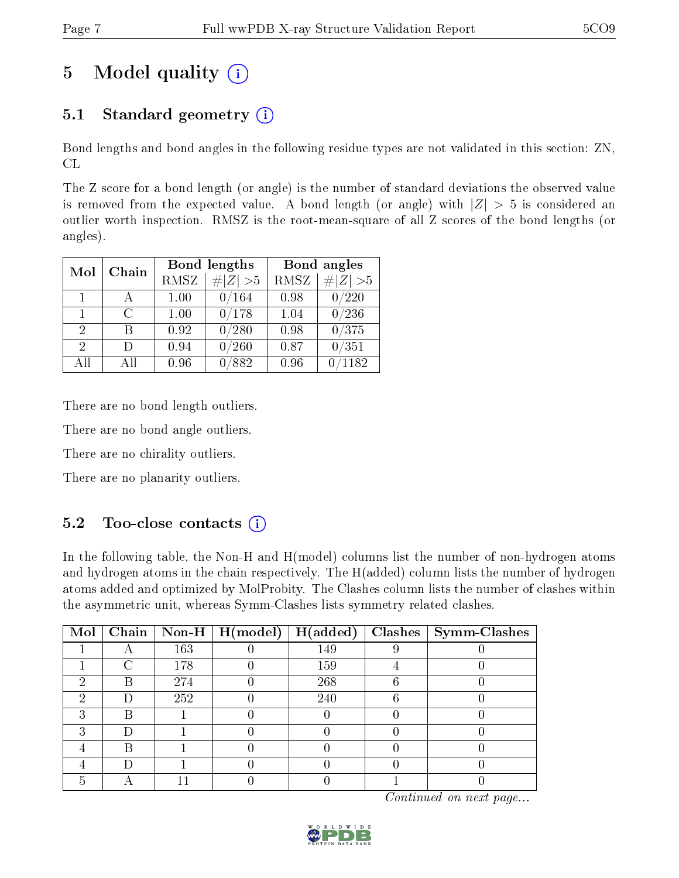# 5 Model quality  $(i)$

# 5.1 Standard geometry  $(i)$

Bond lengths and bond angles in the following residue types are not validated in this section: ZN, CL

The Z score for a bond length (or angle) is the number of standard deviations the observed value is removed from the expected value. A bond length (or angle) with  $|Z| > 5$  is considered an outlier worth inspection. RMSZ is the root-mean-square of all Z scores of the bond lengths (or angles).

|                             | Chain  |             | <b>Bond lengths</b> | Bond angles |            |  |
|-----------------------------|--------|-------------|---------------------|-------------|------------|--|
| Mol                         |        | <b>RMSZ</b> | $\# Z  > 5$         | <b>RMSZ</b> | H Z <br>>5 |  |
| 1                           |        | 1.00        | 0/164               | 0.98        | /220       |  |
| $\mathbf{1}$                | $\cap$ | 1.00        | 0/178               | 1.04        | 0/236      |  |
| $\mathcal{D}_{\mathcal{A}}$ | R      | 0.92        | 0/280               | 0.98        | 0/375      |  |
| 2                           |        | 0.94        | /260                | 0.87        | 0/351      |  |
| AH                          | All    | 0.96        | /882                | 0.96        | 1182       |  |

There are no bond length outliers.

There are no bond angle outliers.

There are no chirality outliers.

There are no planarity outliers.

## $5.2$  Too-close contacts  $\overline{1}$

In the following table, the Non-H and H(model) columns list the number of non-hydrogen atoms and hydrogen atoms in the chain respectively. The H(added) column lists the number of hydrogen atoms added and optimized by MolProbity. The Clashes column lists the number of clashes within the asymmetric unit, whereas Symm-Clashes lists symmetry related clashes.

| $\text{Mol}$ |   |     | $\boxed{\text{Chain}$ $\boxed{\text{Non-H}$ $\boxed{\text{H}(\text{model})}}$ | H(added) | $Class \mid Symm\text{-}\mathrm{Class}$ |
|--------------|---|-----|-------------------------------------------------------------------------------|----------|-----------------------------------------|
|              |   | 163 |                                                                               | 149      |                                         |
|              |   | 178 |                                                                               | 159      |                                         |
| ٠,           | B | 274 |                                                                               | 268      |                                         |
| ച            |   | 252 |                                                                               | 240      |                                         |
|              | R |     |                                                                               |          |                                         |
|              |   |     |                                                                               |          |                                         |
|              | В |     |                                                                               |          |                                         |
|              |   |     |                                                                               |          |                                         |
|              |   |     |                                                                               |          |                                         |

Continued on next page...

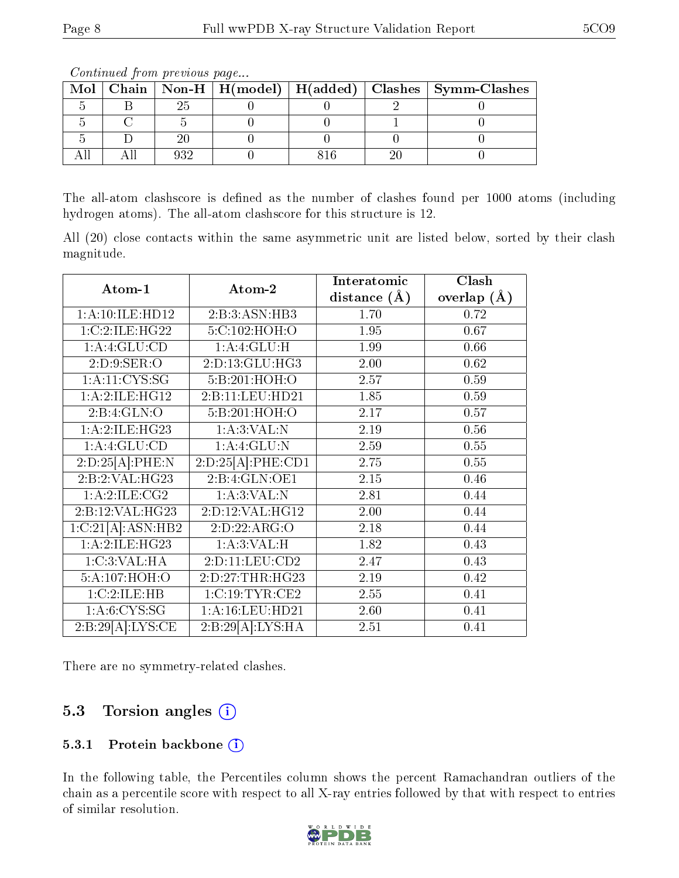| <u>o o reestado de francese de la compositiva de la contrada de la contrada de la contrada de la contrada de la </u> |  |  |  |  |  |                                                                    |  |  |
|----------------------------------------------------------------------------------------------------------------------|--|--|--|--|--|--------------------------------------------------------------------|--|--|
|                                                                                                                      |  |  |  |  |  | Mol   Chain   Non-H   H(model)   H(added)   Clashes   Symm-Clashes |  |  |
|                                                                                                                      |  |  |  |  |  |                                                                    |  |  |
|                                                                                                                      |  |  |  |  |  |                                                                    |  |  |
|                                                                                                                      |  |  |  |  |  |                                                                    |  |  |
|                                                                                                                      |  |  |  |  |  |                                                                    |  |  |

Continued from previous page...

The all-atom clashscore is defined as the number of clashes found per 1000 atoms (including hydrogen atoms). The all-atom clashscore for this structure is 12.

All (20) close contacts within the same asymmetric unit are listed below, sorted by their clash magnitude.

| Atom-1                       | Atom-2                                   | Interatomic    | Clash         |  |
|------------------------------|------------------------------------------|----------------|---------------|--|
|                              |                                          | distance $(A)$ | overlap $(A)$ |  |
| 1: A:10: ILE: HD12           | 2:B:3:ASN:HB3                            | 1.70           | 0.72          |  |
| 1:C:2:ILE:HG22               | 5:C:102:HOH:O                            | 1.95           | 0.67          |  |
| 1: A: 4: GLU: CD             | 1:A:4:GLU:H                              | 1.99           | 0.66          |  |
| 2: D: 9: SER: O              | 2:D:13:GLU:HG3                           | 2.00           | 0.62          |  |
| 1: A: 11: CYS: SG            | 5:B:201:HOH:O                            | 2.57           | 0.59          |  |
| 1:A:2:ILE:HG12               | 2:B:11:LEU:HD21                          | 1.85           | 0.59          |  |
| 2:B:4:GLN:O                  | 5:B:201:HOH:O                            | 2.17           | 0.57          |  |
| 1:A:2:ILE:HG23               | 1: A:3: VAL: N                           | 2.19           | 0.56          |  |
| 1: A: 4: GLU: CD             | 1:A:4:GLU:N                              | 2.59           | 0.55          |  |
| $2:D:25\overline{[A]:PHE:N}$ | 2:D:25[A]:PHE:CD1                        | 2.75           | 0.55          |  |
| 2:B:2:VAL:HG23               | 2:B:4:GLN:OE1                            | 2.15           | 0.46          |  |
| 1: A:2: ILE: CG2             | 1: A:3: VAL: N                           | 2.81           | 0.44          |  |
| 2:B:12:VAL:HG23              | 2:D:12:VAL:HG12                          | 2.00           | 0.44          |  |
| 1:C:21[A]:ASN:HB2            | 2:D:22:ARG:O                             | 2.18           | 0.44          |  |
| 1:A:2:ILE:HG23               | 1: A:3: VAL:H                            | 1.82           | 0.43          |  |
| 1:C:3:VAL:HA                 | 2:D:11:LEU:CD2                           | 2.47           | 0.43          |  |
| 5:A:107:HOH:O                | 2:D:27:THR:HG23                          | 2.19           | 0.42          |  |
| 1:C:2:ILE:HB                 | 1:C:19:TYR:CE2                           | 2.55           | 0.41          |  |
| 1: A:6: CYS:SG               | 1: A: 16: LEU: HD21                      | 2.60           | 0.41          |  |
| 2:B:29[A]:LYS:CE             | $2:B:29[\overline{A}]:LYS:H\overline{A}$ | 2.51           | 0.41          |  |

There are no symmetry-related clashes.

## 5.3 Torsion angles (i)

### 5.3.1 Protein backbone (i)

In the following table, the Percentiles column shows the percent Ramachandran outliers of the chain as a percentile score with respect to all X-ray entries followed by that with respect to entries of similar resolution.

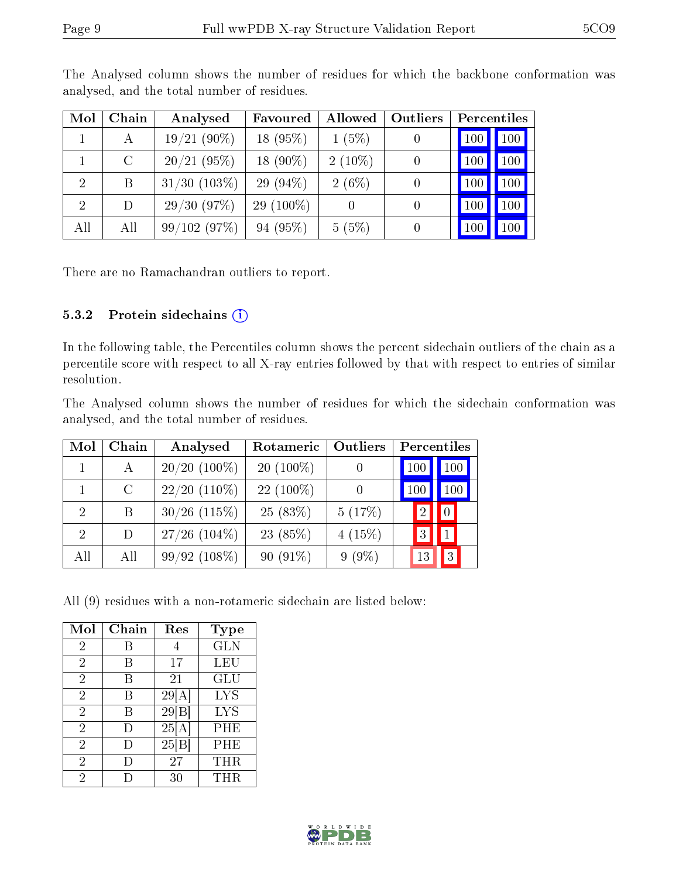| Mol            | Chain   | Analysed          | Favoured     | Allowed   | Outliers | Percentiles |     |
|----------------|---------|-------------------|--------------|-----------|----------|-------------|-----|
|                | А       | $19/21(90\%)$     | $18(95\%)$   | $1(5\%)$  |          | 100         | 100 |
|                | $\rm C$ | 20/21(95%)        | 18 $(90\%)$  | $2(10\%)$ |          | 100         | 100 |
| $\overline{2}$ | Β       | $31/30$ $(103\%)$ | 29 $(94\%)$  | $2(6\%)$  |          | 100         | 100 |
| $\overline{2}$ | D       | 29/30(97%)        | 29 $(100\%)$ |           |          | 100         | 100 |
| All            | All     | 99/102(97%)       | 94 (95%)     | 5(5%)     |          | 100         | 100 |

The Analysed column shows the number of residues for which the backbone conformation was analysed, and the total number of residues.

There are no Ramachandran outliers to report.

### 5.3.2 Protein sidechains (i)

In the following table, the Percentiles column shows the percent sidechain outliers of the chain as a percentile score with respect to all X-ray entries followed by that with respect to entries of similar resolution.

The Analysed column shows the number of residues for which the sidechain conformation was analysed, and the total number of residues.

| Mol                         | Chain         | Analysed        | Rotameric   | Outliers  |              | Percentiles |  |  |
|-----------------------------|---------------|-----------------|-------------|-----------|--------------|-------------|--|--|
|                             | А             | $20/20$ (100%)  | $20(100\%)$ |           | 100          | 100         |  |  |
|                             | $\mathcal{C}$ | $22/20$ (110\%) | $22(100\%)$ |           | 100          | 100         |  |  |
| $\overline{2}$              | B             | $30/26$ (115%)  | 25(83%)     | 5(17%)    |              | 0           |  |  |
| $\mathcal{D}_{\mathcal{L}}$ | D             | $27/26$ (104%)  | 23 (85%)    | $4(15\%)$ | $\mathbf{Q}$ |             |  |  |
| All                         | All           | 99/92(108%)     | $90(91\%)$  | $9(9\%)$  |              | 3           |  |  |

All (9) residues with a non-rotameric sidechain are listed below:

| Mol            | Chain  | Res   | <b>Type</b> |
|----------------|--------|-------|-------------|
| $\overline{2}$ | В      |       | <b>GLN</b>  |
| $\overline{2}$ | В      | 17    | LEU         |
| 2              | B      | 21    | GLU         |
| $\overline{2}$ | В      | 29[A] | <b>LYS</b>  |
| $\overline{2}$ | В      | 29 B  | <b>LYS</b>  |
| $\overline{2}$ | I)     | 25[A] | PHE         |
| $\overline{2}$ | $\Box$ | 25 B  | PHE         |
| $\overline{2}$ | Ð      | 27    | THR         |
| 2              |        | 30    | THR         |

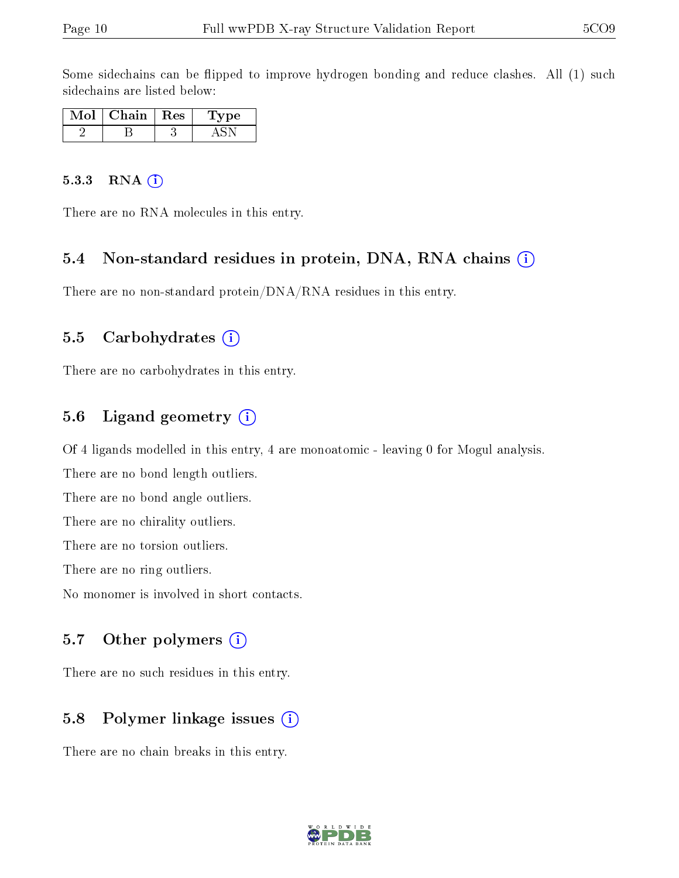Some sidechains can be flipped to improve hydrogen bonding and reduce clashes. All (1) such sidechains are listed below:

| וסי | Chain | Res | Type |
|-----|-------|-----|------|
|     |       |     |      |

#### $5.3.3$  RNA  $(i)$

There are no RNA molecules in this entry.

#### 5.4 Non-standard residues in protein, DNA, RNA chains (i)

There are no non-standard protein/DNA/RNA residues in this entry.

#### 5.5 Carbohydrates  $(i)$

There are no carbohydrates in this entry.

## 5.6 Ligand geometry (i)

Of 4 ligands modelled in this entry, 4 are monoatomic - leaving 0 for Mogul analysis.

There are no bond length outliers.

There are no bond angle outliers.

There are no chirality outliers.

There are no torsion outliers.

There are no ring outliers.

No monomer is involved in short contacts.

### 5.7 [O](https://www.wwpdb.org/validation/2017/XrayValidationReportHelp#nonstandard_residues_and_ligands)ther polymers  $(i)$

There are no such residues in this entry.

### 5.8 Polymer linkage issues  $(i)$

There are no chain breaks in this entry.

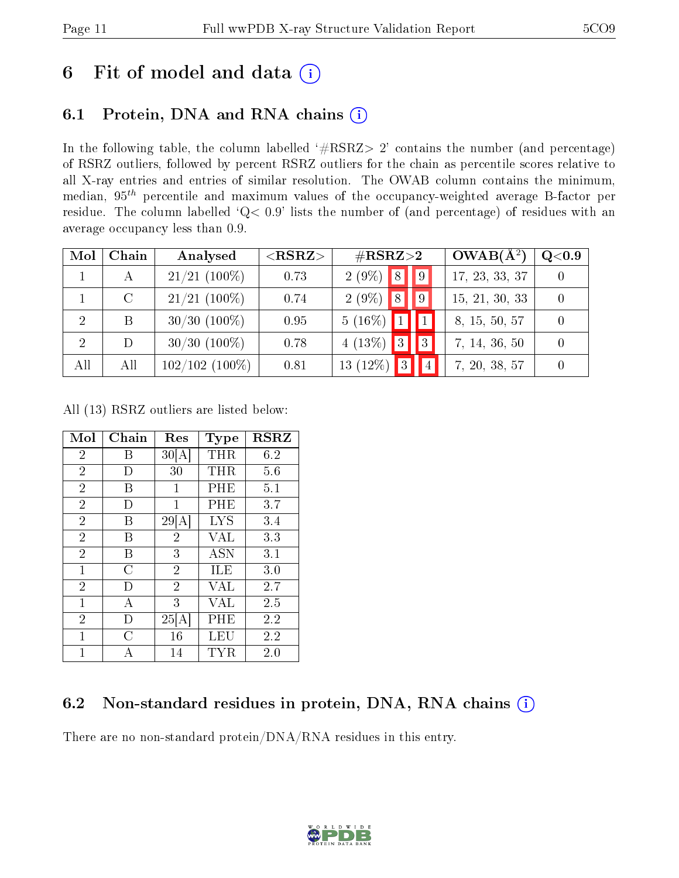# 6 Fit of model and data  $(i)$

# 6.1 Protein, DNA and RNA chains  $(i)$

In the following table, the column labelled  $#RSRZ> 2'$  contains the number (and percentage) of RSRZ outliers, followed by percent RSRZ outliers for the chain as percentile scores relative to all X-ray entries and entries of similar resolution. The OWAB column contains the minimum, median,  $95<sup>th</sup>$  percentile and maximum values of the occupancy-weighted average B-factor per residue. The column labelled ' $Q< 0.9$ ' lists the number of (and percentage) of residues with an average occupancy less than 0.9.

| Mol | Chain         | Analysed          | $<$ RSRZ $>$ | $\#\text{RSRZ}{>}2$     |               | $OWAB(A^2)$    | Q <sub>0.9</sub> |
|-----|---------------|-------------------|--------------|-------------------------|---------------|----------------|------------------|
|     | А             | $21/21$ (100%)    | 0.73         | $2(9\%)$<br> 8          |               | 17, 23, 33, 37 |                  |
|     | $\mathcal{C}$ | $21/21$ (100\%)   | 0.74         | $2(9\%)$ 8              | $\mathbf{I}9$ | 15, 21, 30, 33 |                  |
| 2   | B             | $30/30$ $(100\%)$ | 0.95         | $5(16\%)$ 1             |               | 8, 15, 50, 57  |                  |
| 2   |               | $30/30$ $(100\%)$ | 0.78         | 4 $(13\%)$ 3            | 3             | 7, 14, 36, 50  |                  |
| All | All           | $102/102$ (100%)  | 0.81         | $\vert$ 3<br>$13(12\%)$ | 4             | 7, 20, 38, 57  |                  |

All (13) RSRZ outliers are listed below:

| Mol            | Chain | Res            | Type       | <b>RSRZ</b> |
|----------------|-------|----------------|------------|-------------|
| $\overline{2}$ | Β     | 30 A           | THR        | 6.2         |
| $\overline{2}$ | Ð     | 30             | THR        | 5.6         |
| $\overline{2}$ | В     | 1              | PHE        | 5.1         |
| $\overline{2}$ | D     | 1              | PHE        | 3.7         |
| $\overline{2}$ | В     | 29 A           | <b>LYS</b> | 3.4         |
| $\overline{2}$ | B     | $\overline{2}$ | VAL        | 3.3         |
| $\overline{2}$ | В     | 3              | <b>ASN</b> | 3.1         |
| $\mathbf{1}$   | С     | $\overline{2}$ | ILE        | 3.0         |
| $\overline{2}$ | D     | $\overline{2}$ | VAL        | 2.7         |
| $\overline{1}$ | А     | 3              | VAL        | 2.5         |
| $\overline{2}$ | D)    | 25 A           | PHE        | 2.2         |
| $\mathbf{1}$   | C     | 16             | LEU        | 2.2         |
| 1              | А     | 14             | TYR        | 2.0         |

## 6.2 Non-standard residues in protein, DNA, RNA chains (i)

There are no non-standard protein/DNA/RNA residues in this entry.